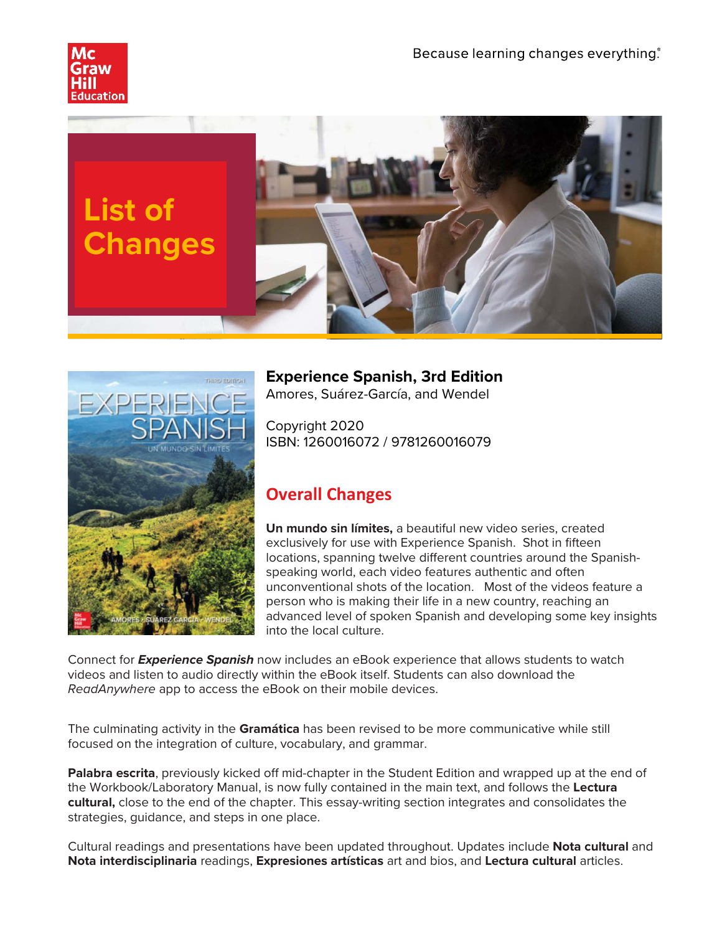





**Experience Spanish, 3rd Edition**

Amores, Suárez-García, and Wendel

Copyright 2020 ISBN: 1260016072 / 9781260016079

## **Overall Changes**

**Un mundo sin límites,** a beautiful new video series, created exclusively for use with Experience Spanish. Shot in fifteen locations, spanning twelve different countries around the Spanishspeaking world, each video features authentic and often unconventional shots of the location. Most of the videos feature a person who is making their life in a new country, reaching an advanced level of spoken Spanish and developing some key insights into the local culture.

Connect for *Experience Spanish* now includes an eBook experience that allows students to watch videos and listen to audio directly within the eBook itself. Students can also download the *ReadAnywhere* app to access the eBook on their mobile devices.

The culminating activity in the **Gramática** has been revised to be more communicative while still focused on the integration of culture, vocabulary, and grammar.

**Palabra escrita**, previously kicked off mid-chapter in the Student Edition and wrapped up at the end of the Workbook/Laboratory Manual, is now fully contained in the main text, and follows the **Lectura cultural,** close to the end of the chapter. This essay-writing section integrates and consolidates the strategies, guidance, and steps in one place.

Cultural readings and presentations have been updated throughout. Updates include **Nota cultural** and **Nota interdisciplinaria** readings, **Expresiones artísticas** art and bios, and **Lectura cultural** articles.